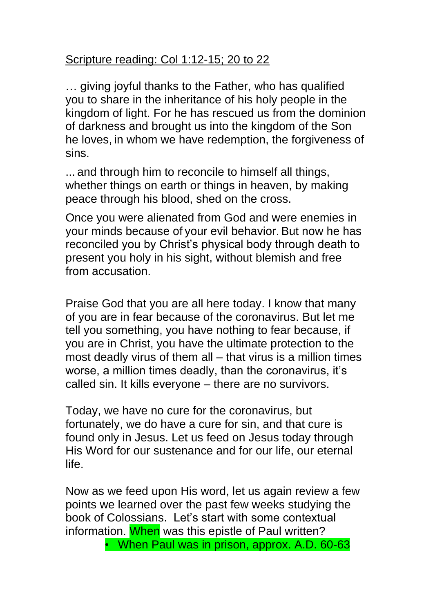## Scripture reading: Col 1:12-15; 20 to 22

… giving joyful thanks to the Father, who has qualified you to share in the inheritance of his holy people in the kingdom of light. For he has rescued us from the dominion of darkness and brought us into the kingdom of the Son he loves, in whom we have redemption, the forgiveness of sins.

... and through him to reconcile to himself all things, whether things on earth or things in heaven, by making peace through his blood, shed on the cross.

Once you were alienated from God and were enemies in your minds because of your evil behavior. But now he has reconciled you by Christ's physical body through death to present you holy in his sight, without blemish and free from accusation.

Praise God that you are all here today. I know that many of you are in fear because of the coronavirus. But let me tell you something, you have nothing to fear because, if you are in Christ, you have the ultimate protection to the most deadly virus of them all – that virus is a million times worse, a million times deadly, than the coronavirus, it's called sin. It kills everyone – there are no survivors.

Today, we have no cure for the coronavirus, but fortunately, we do have a cure for sin, and that cure is found only in Jesus. Let us feed on Jesus today through His Word for our sustenance and for our life, our eternal life.

Now as we feed upon His word, let us again review a few points we learned over the past few weeks studying the book of Colossians. Let's start with some contextual information. When was this epistle of Paul written?

• When Paul was in prison, approx. A.D. 60-63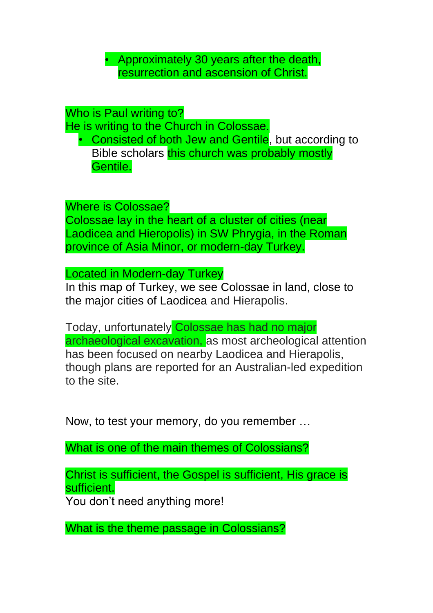• Approximately 30 years after the death, resurrection and ascension of Christ.

Who is Paul writing to?

He is writing to the Church in Colossae.

• Consisted of both Jew and Gentile, but according to Bible scholars this church was probably mostly Gentile.

Where is Colossae? Colossae lay in the heart of a cluster of cities (near Laodicea and Hieropolis) in SW Phrygia, in the Roman province of Asia Minor, or modern-day Turkey.

Located in Modern-day Turkey

In this map of Turkey, we see Colossae in land, close to the major cities of Laodicea and Hierapolis.

Today, unfortunately Colossae has had no major archaeological excavation, as most archeological attention has been focused on nearby Laodicea and Hierapolis, though plans are reported for an Australian-led expedition to the site.

Now, to test your memory, do you remember …

What is one of the main themes of Colossians?

Christ is sufficient, the Gospel is sufficient, His grace is sufficient.

You don't need anything more!

What is the theme passage in Colossians?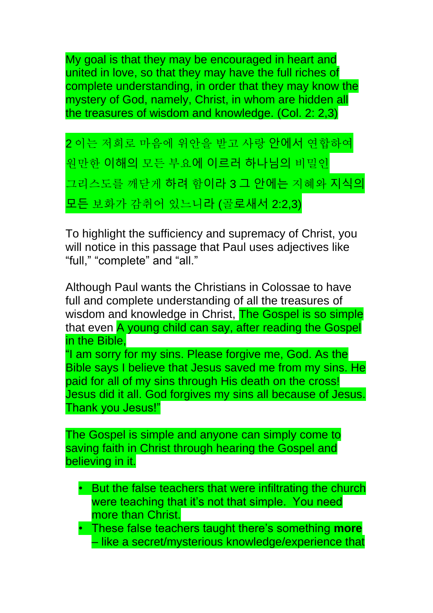My goal is that they may be encouraged in heart and united in love, so that they may have the full riches of complete understanding, in order that they may know the mystery of God, namely, Christ, in whom are hidden all the treasures of wisdom and knowledge. (Col. 2: 2,3)

2 이는 저희로 마음에 위안을 받고 사랑 안에서 연합하여 원만한 이해의 모든 부요에 이르러 하나님의 비밀인 그리스도를 깨닫게 하려 함이라 3 그 안에는 지혜와 지식의 모든 보화가 감취어 있느니라 (골로새서 2:2,3)

To highlight the sufficiency and supremacy of Christ, you will notice in this passage that Paul uses adjectives like "full," "complete" and "all."

Although Paul wants the Christians in Colossae to have full and complete understanding of all the treasures of wisdom and knowledge in Christ, **The Gospel is so simple** that even A young child can say, after reading the Gospel in the Bible,

"I am sorry for my sins. Please forgive me, God. As the Bible says I believe that Jesus saved me from my sins. He paid for all of my sins through His death on the cross! Jesus did it all. God forgives my sins all because of Jesus. Thank you Jesus!"

The Gospel is simple and anyone can simply come to saving faith in Christ through hearing the Gospel and believing in it.

- But the false teachers that were infiltrating the church were teaching that it's not that simple. You need more than Christ.
- These false teachers taught there's something **more** – like a secret/mysterious knowledge/experience that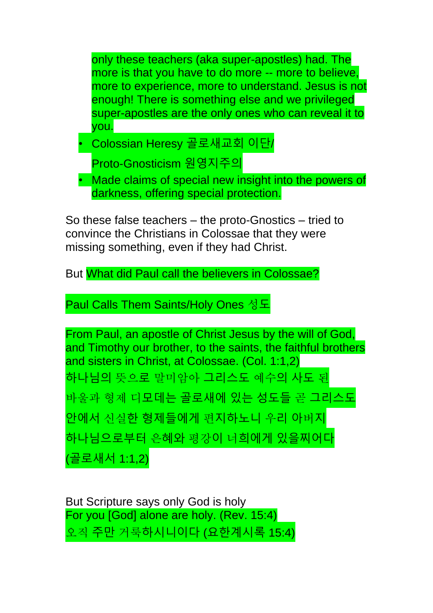only these teachers (aka super-apostles) had. The more is that you have to do more -- more to believe, more to experience, more to understand. Jesus is not enough! There is something else and we privileged super-apostles are the only ones who can reveal it to you.

• Colossian Heresy 골로새교회 이단/

Proto-Gnosticism 원영지주의

Made claims of special new insight into the powers of darkness, offering special protection.

So these false teachers – the proto-Gnostics – tried to convince the Christians in Colossae that they were missing something, even if they had Christ.

But What did Paul call the believers in Colossae?

Paul Calls Them Saints/Holy Ones 성도

From Paul, an apostle of Christ Jesus by the will of God, and Timothy our brother, to the saints, the faithful brothers and sisters in Christ, at Colossae. (Col. 1:1,2) 하나님의 뜻으로 말미암아 그리스도 예수의 사도 된 바울과 형제 디모데는 골로새에 있는 성도들 곧 그리스도 안에서 신실한 형제들에게 편지하노니 우리 아버지 하나님으로부터 은혜와 평강이 너희에게 있을찌어다 (골로새서 1:1,2)

But Scripture says only God is holy For you [God] alone are holy. (Rev. 15:4) 오직 주만 거룩하시니이다 (요한계시록 15:4)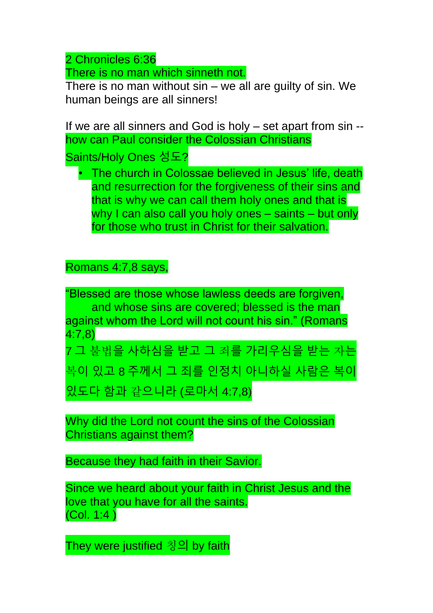2 Chronicles 6:36

There is no man which sinneth not.

There is no man without  $sin - we$  all are guilty of  $sin$ . We human beings are all sinners!

If we are all sinners and God is holy – set apart from sin - how can Paul consider the Colossian Christians Saints/Holy Ones 성도?

• The church in Colossae believed in Jesus' life, death and resurrection for the forgiveness of their sins and that is why we can call them holy ones and that is why I can also call you holy ones – saints – but only for those who trust in Christ for their salvation.

Romans 4:7,8 says,

"Blessed are those whose lawless deeds are forgiven, and whose sins are covered; blessed is the man against whom the Lord will not count his sin." (Romans 4:7,8)

7 그 불법을 사하심을 받고 그 죄를 가리우심을 받는 자는 복이 있고 8 주께서 그 죄를 인정치 아니하실 사람은 복이 있도다 함과 같으니라 (로마서 4:7,8)

Why did the Lord not count the sins of the Colossian Christians against them?

Because they had faith in their Savior.

Since we heard about your faith in Christ Jesus and the love that you have for all the saints. (Col. 1:4 )

They were justified 칭의 by faith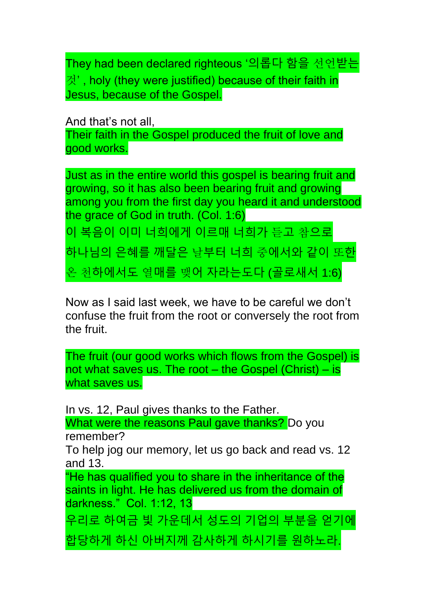They had been declared righteous '의롭다 함을 선언받는 것' , holy (they were justified) because of their faith in Jesus, because of the Gospel.

And that's not all, Their faith in the Gospel produced the fruit of love and good works.

Just as in the entire world this gospel is bearing fruit and growing, so it has also been bearing fruit and growing among you from the first day you heard it and understood the grace of God in truth. (Col. 1:6)

이 복음이 이미 너희에게 이르매 너희가 듣고 참으로

하나님의 은혜를 깨달은 날부터 너희 중에서와 같이 또한

온 천하에서도 열매를 맺어 자라는도다 (골로새서 1:6)

Now as I said last week, we have to be careful we don't confuse the fruit from the root or conversely the root from the fruit.

The fruit (our good works which flows from the Gospel) is not what saves us. The root  $-$  the Gospel (Christ)  $-$  is what saves us.

In vs. 12, Paul gives thanks to the Father. What were the reasons Paul gave thanks? Do you remember? To help jog our memory, let us go back and read vs. 12 and 13. "He has qualified you to share in the inheritance of the saints in light. He has delivered us from the domain of darkness." Col. 1:12, 13 우리로 하여금 빛 가운데서 성도의 기업의 부분을 얻기에 합당하게 하신 아버지께 감사하게 하시기를 원하노라.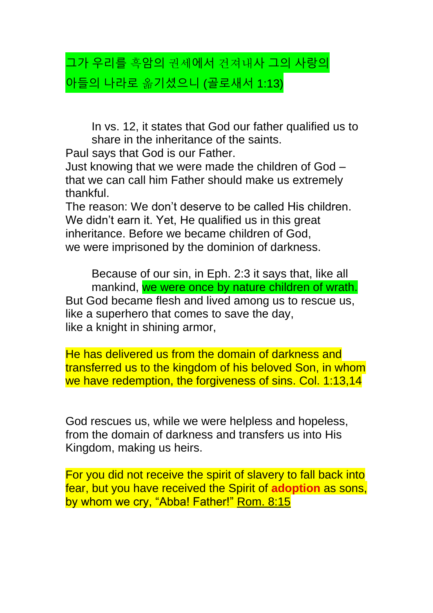## 그가 우리를 흑암의 권세에서 건져내사 그의 사랑의 아들의 나라로 옮기셨으니 (골로새서 1:13)

In vs. 12, it states that God our father qualified us to share in the inheritance of the saints.

Paul says that God is our Father.

Just knowing that we were made the children of God – that we can call him Father should make us extremely thankful.

The reason: We don't deserve to be called His children. We didn't earn it. Yet, He qualified us in this great inheritance. Before we became children of God, we were imprisoned by the dominion of darkness.

Because of our sin, in Eph. 2:3 it says that, like all mankind, we were once by nature children of wrath. But God became flesh and lived among us to rescue us, like a superhero that comes to save the day, like a knight in shining armor,

He has delivered us from the domain of darkness and transferred us to the kingdom of his beloved Son, in whom we have redemption, the forgiveness of sins. Col. 1:13,14

God rescues us, while we were helpless and hopeless, from the domain of darkness and transfers us into His Kingdom, making us heirs.

For you did not receive the spirit of slavery to fall back into fear, but you have received the Spirit of **adoption** as sons, by whom we cry, "Abba! Father!" Rom. 8:15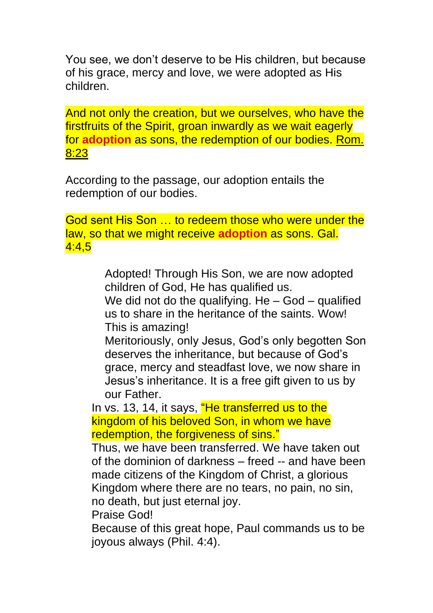You see, we don't deserve to be His children, but because of his grace, mercy and love, we were adopted as His children.

And not only the creation, but we ourselves, who have the firstfruits of the Spirit, groan inwardly as we wait eagerly for **adoption** as sons, the redemption of our bodies. Rom. 8:23

According to the passage, our adoption entails the redemption of our bodies.

God sent His Son … to redeem those who were under the law, so that we might receive **adoption** as sons. Gal. 4:4,5

> Adopted! Through His Son, we are now adopted children of God, He has qualified us.

We did not do the qualifying.  $He - God - qualified$ us to share in the heritance of the saints. Wow! This is amazing!

Meritoriously, only Jesus, God's only begotten Son deserves the inheritance, but because of God's grace, mercy and steadfast love, we now share in Jesus's inheritance. It is a free gift given to us by our Father.

In vs. 13, 14, it says, "He transferred us to the kingdom of his beloved Son, in whom we have redemption, the forgiveness of sins."

Thus, we have been transferred. We have taken out of the dominion of darkness – freed -- and have been made citizens of the Kingdom of Christ, a glorious Kingdom where there are no tears, no pain, no sin, no death, but just eternal joy.

Praise God!

Because of this great hope, Paul commands us to be joyous always (Phil. 4:4).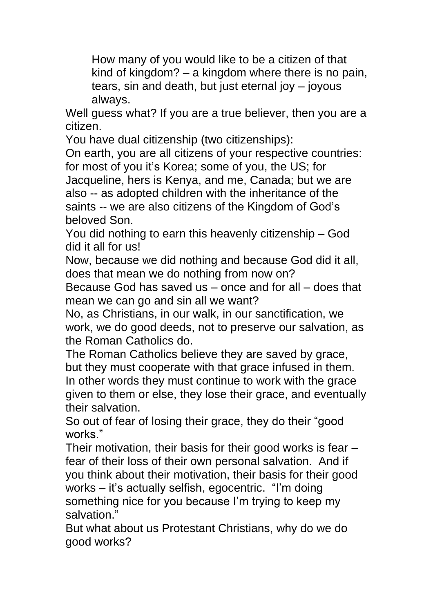How many of you would like to be a citizen of that kind of kingdom? – a kingdom where there is no pain, tears, sin and death, but just eternal joy – joyous always.

Well guess what? If you are a true believer, then you are a citizen.

You have dual citizenship (two citizenships):

On earth, you are all citizens of your respective countries: for most of you it's Korea; some of you, the US; for Jacqueline, hers is Kenya, and me, Canada; but we are also -- as adopted children with the inheritance of the saints -- we are also citizens of the Kingdom of God's beloved Son.

You did nothing to earn this heavenly citizenship – God did it all for us!

Now, because we did nothing and because God did it all, does that mean we do nothing from now on?

Because God has saved us – once and for all – does that mean we can go and sin all we want?

No, as Christians, in our walk, in our sanctification, we work, we do good deeds, not to preserve our salvation, as the Roman Catholics do.

The Roman Catholics believe they are saved by grace, but they must cooperate with that grace infused in them. In other words they must continue to work with the grace given to them or else, they lose their grace, and eventually their salvation.

So out of fear of losing their grace, they do their "good works."

Their motivation, their basis for their good works is fear – fear of their loss of their own personal salvation. And if you think about their motivation, their basis for their good works – it's actually selfish, egocentric. "I'm doing something nice for you because I'm trying to keep my salvation."

But what about us Protestant Christians, why do we do good works?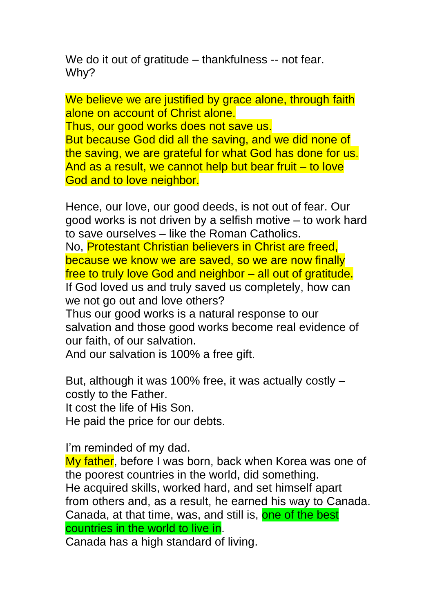We do it out of gratitude – thankfulness -- not fear. Why?

We believe we are justified by grace alone, through faith alone on account of Christ alone.

Thus, our good works does not save us.

But because God did all the saving, and we did none of the saving, we are grateful for what God has done for us. And as a result, we cannot help but bear fruit – to love God and to love neighbor.

Hence, our love, our good deeds, is not out of fear. Our good works is not driven by a selfish motive – to work hard to save ourselves – like the Roman Catholics.

No, Protestant Christian believers in Christ are freed, because we know we are saved, so we are now finally free to truly love God and neighbor – all out of gratitude. If God loved us and truly saved us completely, how can we not go out and love others?

Thus our good works is a natural response to our salvation and those good works become real evidence of our faith, of our salvation.

And our salvation is 100% a free gift.

But, although it was 100% free, it was actually costly – costly to the Father. It cost the life of His Son. He paid the price for our debts.

I'm reminded of my dad.

My father, before I was born, back when Korea was one of the poorest countries in the world, did something. He acquired skills, worked hard, and set himself apart from others and, as a result, he earned his way to Canada. Canada, at that time, was, and still is, one of the best countries in the world to live in.

Canada has a high standard of living.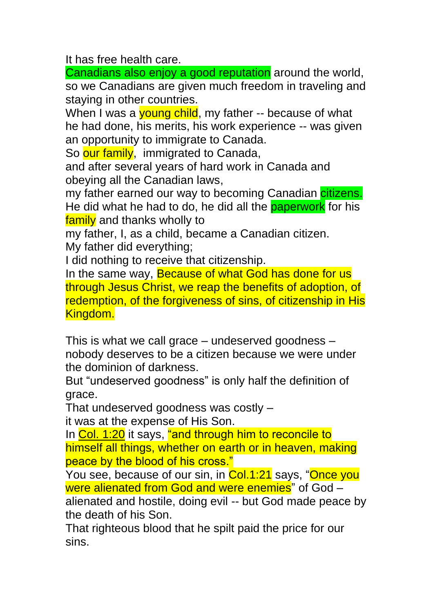It has free health care.

Canadians also enjoy a good reputation around the world, so we Canadians are given much freedom in traveling and staying in other countries.

When I was a young child, my father -- because of what he had done, his merits, his work experience -- was given an opportunity to immigrate to Canada.

So our family, immigrated to Canada,

and after several years of hard work in Canada and obeying all the Canadian laws,

my father earned our way to becoming Canadian citizens. He did what he had to do, he did all the **paperwork** for his family and thanks wholly to

my father, I, as a child, became a Canadian citizen.

My father did everything;

I did nothing to receive that citizenship.

In the same way, Because of what God has done for us through Jesus Christ, we reap the benefits of adoption, of redemption, of the forgiveness of sins, of citizenship in His Kingdom.

This is what we call grace – undeserved goodness – nobody deserves to be a citizen because we were under the dominion of darkness.

But "undeserved goodness" is only half the definition of grace.

That undeserved goodness was costly –

it was at the expense of His Son.

In Col. 1:20 it says, "and through him to reconcile to himself all things, whether on earth or in heaven, making peace by the blood of his cross."

You see, because of our sin, in Col.1:21 says, "Once you were alienated from God and were enemies" of God –

alienated and hostile, doing evil -- but God made peace by the death of his Son.

That righteous blood that he spilt paid the price for our sins.